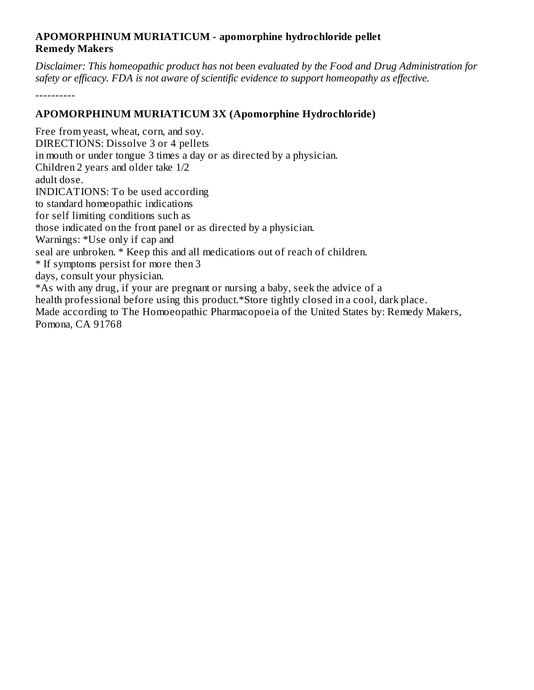## **APOMORPHINUM MURIATICUM - apomorphine hydrochloride pellet Remedy Makers**

*Disclaimer: This homeopathic product has not been evaluated by the Food and Drug Administration for safety or efficacy. FDA is not aware of scientific evidence to support homeopathy as effective.*

----------

## **APOMORPHINUM MURIATICUM 3X (Apomorphine Hydrochloride)**

Free from yeast, wheat, corn, and soy. DIRECTIONS: Dissolve 3 or 4 pellets in mouth or under tongue 3 times a day or as directed by a physician. Children 2 years and older take 1/2 adult dose. INDICATIONS: To be used according to standard homeopathic indications for self limiting conditions such as those indicated on the front panel or as directed by a physician. Warnings: \*Use only if cap and seal are unbroken. \* Keep this and all medications out of reach of children. \* If symptoms persist for more then 3 days, consult your physician. \*As with any drug, if your are pregnant or nursing a baby, seek the advice of a health professional before using this product.\*Store tightly closed in a cool, dark place. Made according to The Homoeopathic Pharmacopoeia of the United States by: Remedy Makers, Pomona, CA 91768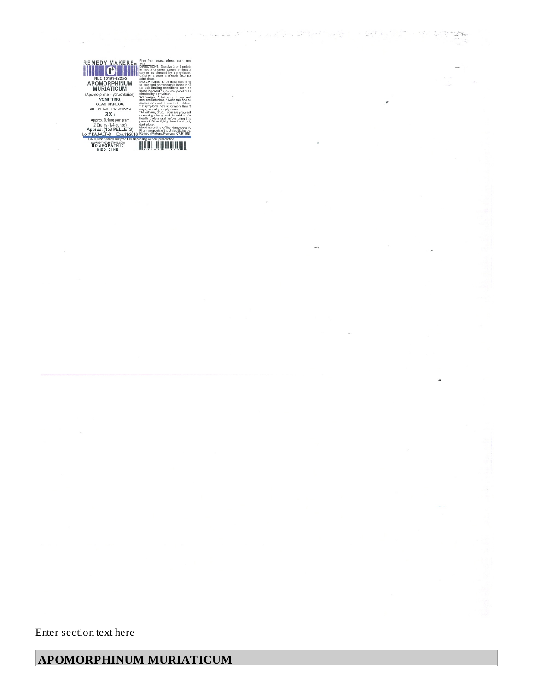$\overline{a}$ 

 $\label{eq:2} \mathcal{L}=\frac{\sqrt{2}}{2}\sqrt{\frac{2}{3}}\left(\frac{1}{2}\right)\frac{1}{2}\left(\frac{1}{2}\right)\frac{1}{2}\left(\frac{1}{2}\right)^{2}$ 

é

 $\frac{1}{\epsilon_1} \frac{1}{\epsilon_1} \frac{\partial \phi}{\partial \phi}$ 

 $\ddot{\phantom{1}}$ 

 $\frac{1}{2}$ 

 $\frac{1}{\sqrt{2}}\left[\frac{1}{\sqrt{2}}\sqrt{1-\frac{1}{2}}\left(\frac{1}{\sqrt{2}}\sqrt{1-\frac{1}{2}}\right)\right]\left[\frac{1}{\sqrt{2}}\sqrt{1-\frac{1}{2}}\sqrt{1-\frac{1}{2}}\sqrt{1-\frac{1}{2}}\right]\left[\frac{1}{\sqrt{2}}\sqrt{1-\frac{1}{2}}\sqrt{1-\frac{1}{2}}\sqrt{1-\frac{1}{2}}\sqrt{1-\frac{1}{2}}\sqrt{1-\frac{1}{2}}\sqrt{1-\frac{1}{2}}\sqrt{1-\frac{1}{2}}\sqrt{1-\frac{1}{2}}\sqrt{1-\frac{1}{2}}\sqrt$ 

ne.

 $\ddot{\cdot}$  $\omega_{\rm{max}} = \omega_{\rm{max}} = \frac{1}{2} \omega_{\rm{max}}^2$ 

 $\overline{\mathbf{r}}$ 

Enter section text here

## **APOMORPHINUM MURIATICUM**